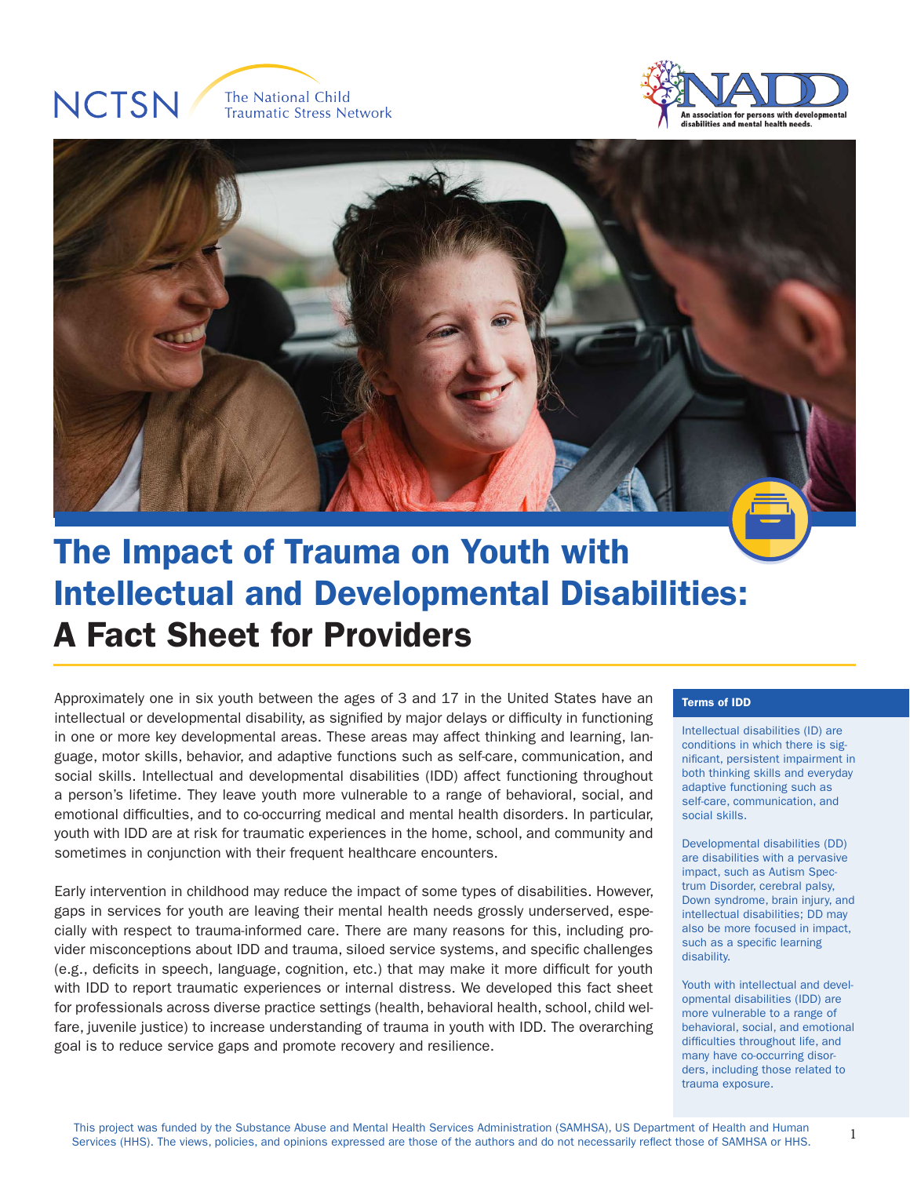# **NCTSN**







## The Impact of Trauma on Youth with Intellectual and Developmental Disabilities: A Fact Sheet for Providers

Approximately one in six youth between the ages of 3 and 17 in the United States have an intellectual or developmental disability, as signified by major delays or difficulty in functioning in one or more key developmental areas. These areas may affect thinking and learning, language, motor skills, behavior, and adaptive functions such as self-care, communication, and social skills. Intellectual and developmental disabilities (IDD) affect functioning throughout a person's lifetime. They leave youth more vulnerable to a range of behavioral, social, and emotional difficulties, and to co-occurring medical and mental health disorders. In particular, youth with IDD are at risk for traumatic experiences in the home, school, and community and sometimes in conjunction with their frequent healthcare encounters.

Early intervention in childhood may reduce the impact of some types of disabilities. However, gaps in services for youth are leaving their mental health needs grossly underserved, especially with respect to trauma-informed care. There are many reasons for this, including provider misconceptions about IDD and trauma, siloed service systems, and specific challenges (e.g., deficits in speech, language, cognition, etc.) that may make it more difficult for youth with IDD to report traumatic experiences or internal distress. We developed this fact sheet for professionals across diverse practice settings (health, behavioral health, school, child welfare, juvenile justice) to increase understanding of trauma in youth with IDD. The overarching goal is to reduce service gaps and promote recovery and resilience.

#### Terms of IDD

Intellectual disabilities (ID) are conditions in which there is significant, persistent impairment in both thinking skills and everyday adaptive functioning such as self-care, communication, and social skills.

Developmental disabilities (DD) are disabilities with a pervasive impact, such as Autism Spectrum Disorder, cerebral palsy, Down syndrome, brain injury, and intellectual disabilities; DD may also be more focused in impact, such as a specific learning disability.

Youth with intellectual and developmental disabilities (IDD) are more vulnerable to a range of behavioral, social, and emotional difficulties throughout life, and many have co-occurring disorders, including those related to trauma exposure.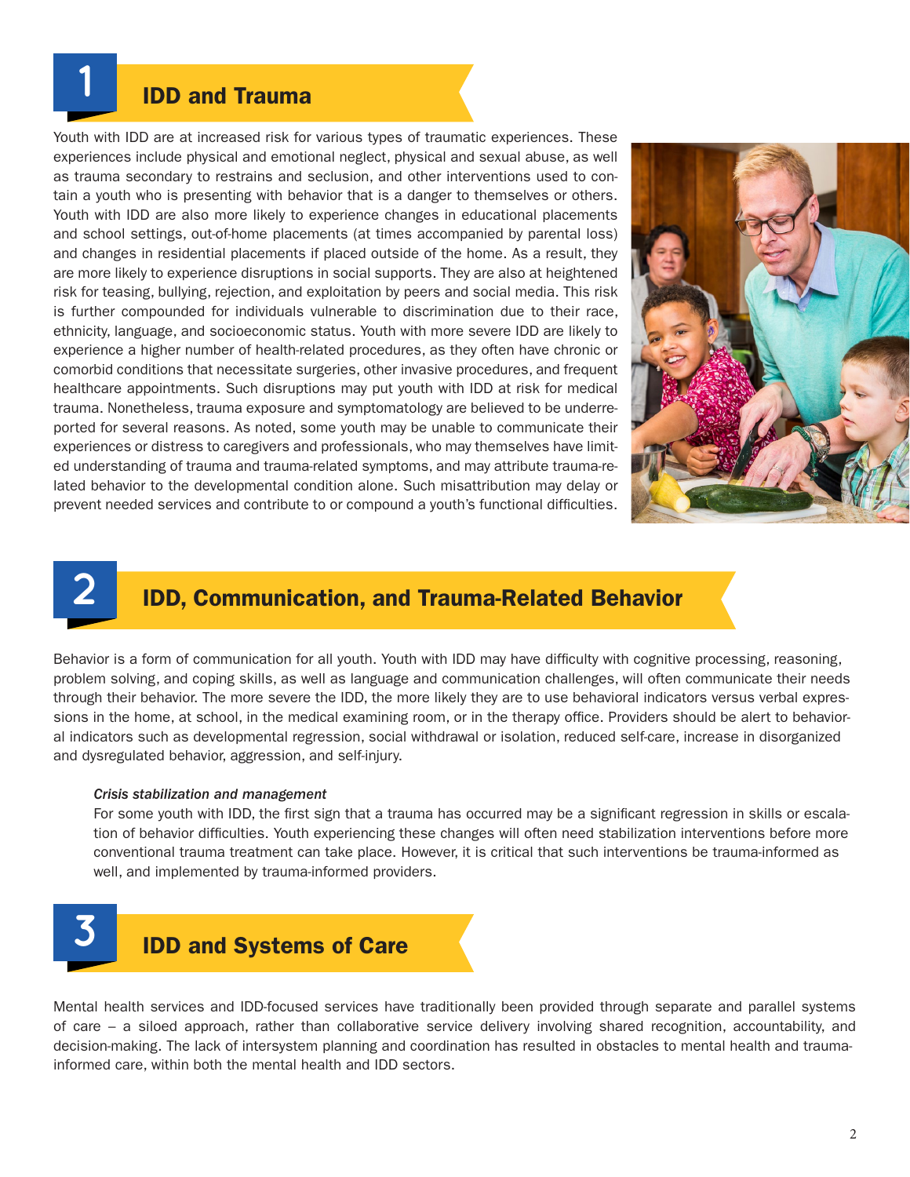### IDD and Trauma

Youth with IDD are at increased risk for various types of traumatic experiences. These experiences include physical and emotional neglect, physical and sexual abuse, as well as trauma secondary to restrains and seclusion, and other interventions used to contain a youth who is presenting with behavior that is a danger to themselves or others. Youth with IDD are also more likely to experience changes in educational placements and school settings, out-of-home placements (at times accompanied by parental loss) and changes in residential placements if placed outside of the home. As a result, they are more likely to experience disruptions in social supports. They are also at heightened risk for teasing, bullying, rejection, and exploitation by peers and social media. This risk is further compounded for individuals vulnerable to discrimination due to their race, ethnicity, language, and socioeconomic status. Youth with more severe IDD are likely to experience a higher number of health-related procedures, as they often have chronic or comorbid conditions that necessitate surgeries, other invasive procedures, and frequent healthcare appointments. Such disruptions may put youth with IDD at risk for medical trauma. Nonetheless, trauma exposure and symptomatology are believed to be underreported for several reasons. As noted, some youth may be unable to communicate their experiences or distress to caregivers and professionals, who may themselves have limited understanding of trauma and trauma-related symptoms, and may attribute trauma-related behavior to the developmental condition alone. Such misattribution may delay or prevent needed services and contribute to or compound a youth's functional difficulties.



# **2**

**1**

## IDD, Communication, and Trauma-Related Behavior

Behavior is a form of communication for all youth. Youth with IDD may have difficulty with cognitive processing, reasoning, problem solving, and coping skills, as well as language and communication challenges, will often communicate their needs through their behavior. The more severe the IDD, the more likely they are to use behavioral indicators versus verbal expressions in the home, at school, in the medical examining room, or in the therapy office. Providers should be alert to behavioral indicators such as developmental regression, social withdrawal or isolation, reduced self-care, increase in disorganized and dysregulated behavior, aggression, and self-injury.

#### *Crisis stabilization and management*

For some youth with IDD, the first sign that a trauma has occurred may be a significant regression in skills or escalation of behavior difficulties. Youth experiencing these changes will often need stabilization interventions before more conventional trauma treatment can take place. However, it is critical that such interventions be trauma-informed as well, and implemented by trauma-informed providers.



Mental health services and IDD-focused services have traditionally been provided through separate and parallel systems of care – a siloed approach, rather than collaborative service delivery involving shared recognition, accountability, and decision-making. The lack of intersystem planning and coordination has resulted in obstacles to mental health and traumainformed care, within both the mental health and IDD sectors.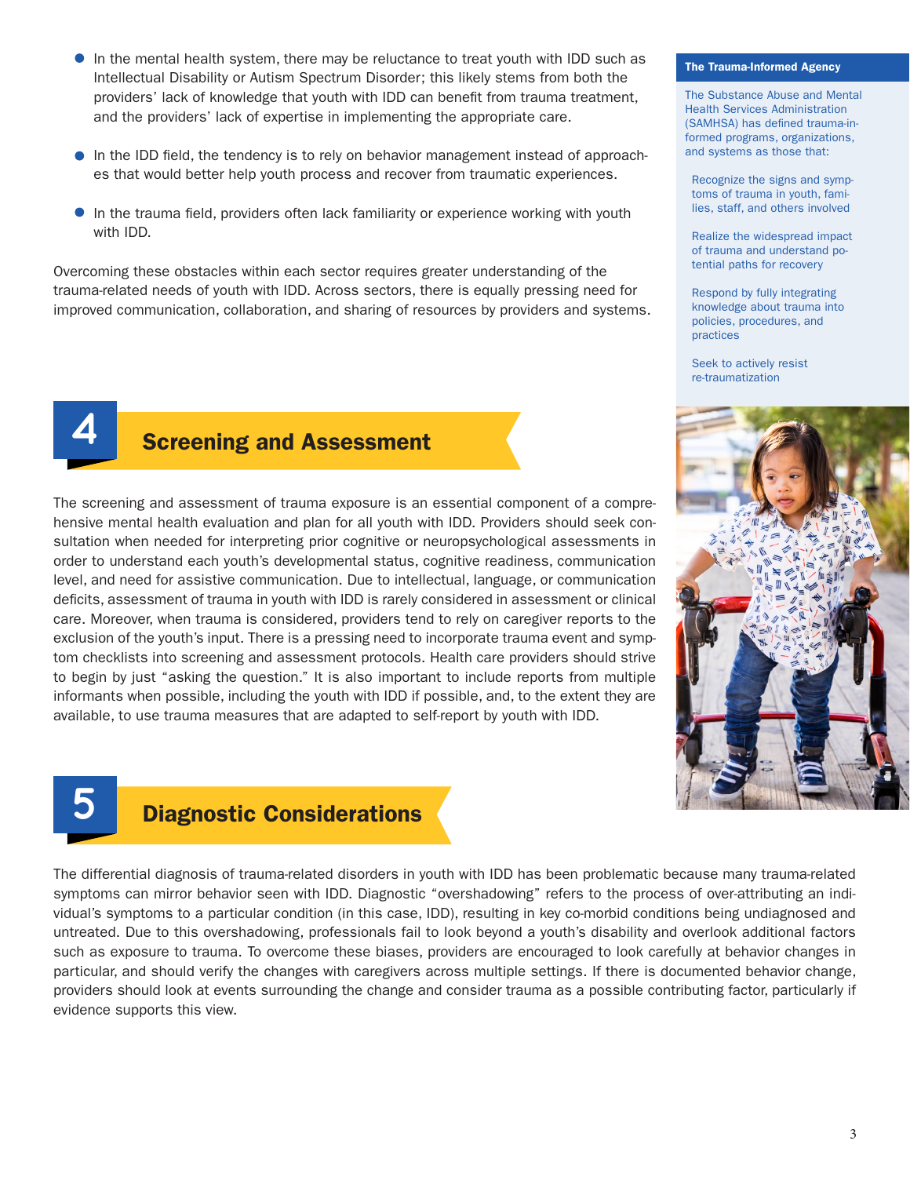- In the mental health system, there may be reluctance to treat youth with IDD such as Intellectual Disability or Autism Spectrum Disorder; this likely stems from both the providers' lack of knowledge that youth with IDD can benefit from trauma treatment, and the providers' lack of expertise in implementing the appropriate care.
- In the IDD field, the tendency is to rely on behavior management instead of approaches that would better help youth process and recover from traumatic experiences.
- In the trauma field, providers often lack familiarity or experience working with youth with IDD.

Overcoming these obstacles within each sector requires greater understanding of the trauma-related needs of youth with IDD. Across sectors, there is equally pressing need for improved communication, collaboration, and sharing of resources by providers and systems.



**5**

## **Screening and Assessment**

The screening and assessment of trauma exposure is an essential component of a comprehensive mental health evaluation and plan for all youth with IDD. Providers should seek consultation when needed for interpreting prior cognitive or neuropsychological assessments in order to understand each youth's developmental status, cognitive readiness, communication level, and need for assistive communication. Due to intellectual, language, or communication deficits, assessment of trauma in youth with IDD is rarely considered in assessment or clinical care. Moreover, when trauma is considered, providers tend to rely on caregiver reports to the exclusion of the youth's input. There is a pressing need to incorporate trauma event and symptom checklists into screening and assessment protocols. Health care providers should strive to begin by just "asking the question." It is also important to include reports from multiple informants when possible, including the youth with IDD if possible, and, to the extent they are available, to use trauma measures that are adapted to self-report by youth with IDD.

#### The Trauma-Informed Agency

The Substance Abuse and Mental Health Services Administration (SAMHSA) has defined trauma-informed programs, organizations, and systems as those that:

Recognize the signs and symptoms of trauma in youth, families, staff, and others involved

Realize the widespread impact of trauma and understand potential paths for recovery

Respond by fully integrating knowledge about trauma into policies, procedures, and practices

Seek to actively resist re-traumatization



## Diagnostic Considerations

The differential diagnosis of trauma-related disorders in youth with IDD has been problematic because many trauma-related symptoms can mirror behavior seen with IDD. Diagnostic "overshadowing" refers to the process of over-attributing an individual's symptoms to a particular condition (in this case, IDD), resulting in key co-morbid conditions being undiagnosed and untreated. Due to this overshadowing, professionals fail to look beyond a youth's disability and overlook additional factors such as exposure to trauma. To overcome these biases, providers are encouraged to look carefully at behavior changes in particular, and should verify the changes with caregivers across multiple settings. If there is documented behavior change, providers should look at events surrounding the change and consider trauma as a possible contributing factor, particularly if evidence supports this view.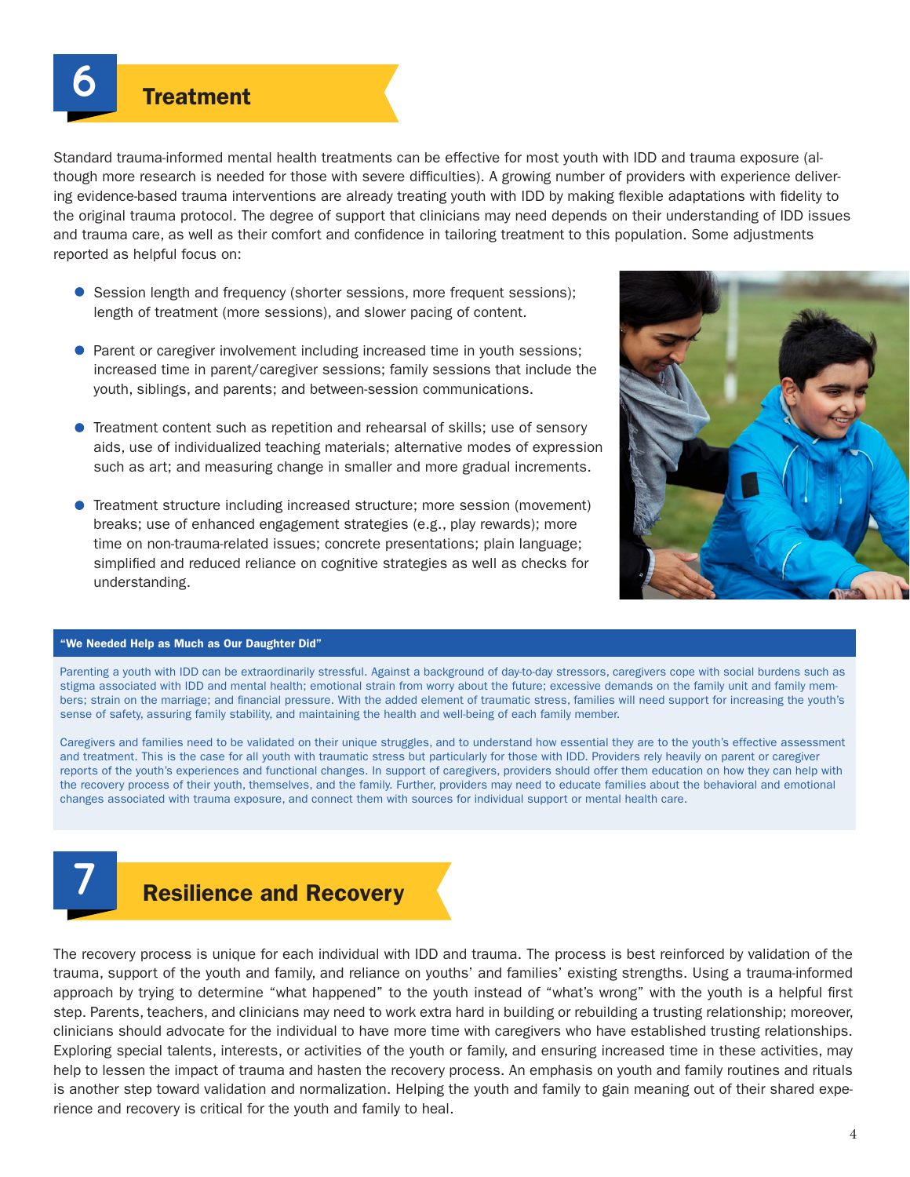Standard trauma-informed mental health treatments can be effective for most youth with IDD and trauma exposure (although more research is needed for those with severe difficulties). A growing number of providers with experience delivering evidence-based trauma interventions are already treating youth with IDD by making flexible adaptations with fidelity to the original trauma protocol. The degree of support that clinicians may need depends on their understanding of IDD issues and trauma care, as well as their comfort and confidence in tailoring treatment to this population. Some adjustments reported as helpful focus on:

- **Session length and frequency (shorter sessions, more frequent sessions);** length of treatment (more sessions), and slower pacing of content.
- **Parent or caregiver involvement including increased time in youth sessions;** increased time in parent/caregiver sessions; family sessions that include the youth, siblings, and parents; and between-session communications.
- **•** Treatment content such as repetition and rehearsal of skills; use of sensory aids, use of individualized teaching materials; alternative modes of expression such as art; and measuring change in smaller and more gradual increments.
- Treatment structure including increased structure; more session (movement) breaks; use of enhanced engagement strategies (e.g., play rewards); more time on non-trauma-related issues; concrete presentations; plain language; simplified and reduced reliance on cognitive strategies as well as checks for understanding.



#### "We Needed Help as Much as Our Daughter Did"

Parenting a youth with IDD can be extraordinarily stressful. Against a background of day-to-day stressors, caregivers cope with social burdens such as stigma associated with IDD and mental health; emotional strain from worry about the future; excessive demands on the family unit and family members; strain on the marriage; and financial pressure. With the added element of traumatic stress, families will need support for increasing the youth's sense of safety, assuring family stability, and maintaining the health and well-being of each family member.

Caregivers and families need to be validated on their unique struggles, and to understand how essential they are to the youth's effective assessment and treatment. This is the case for all youth with traumatic stress but particularly for those with IDD. Providers rely heavily on parent or caregiver reports of the youth's experiences and functional changes. In support of caregivers, providers should offer them education on how they can help with the recovery process of their youth, themselves, and the family. Further, providers may need to educate families about the behavioral and emotional changes associated with trauma exposure, and connect them with sources for individual support or mental health care.



## Resilience and Recovery

The recovery process is unique for each individual with IDD and trauma. The process is best reinforced by validation of the trauma, support of the youth and family, and reliance on youths' and families' existing strengths. Using a trauma-informed approach by trying to determine "what happened" to the youth instead of "what's wrong" with the youth is a helpful first step. Parents, teachers, and clinicians may need to work extra hard in building or rebuilding a trusting relationship; moreover, clinicians should advocate for the individual to have more time with caregivers who have established trusting relationships. Exploring special talents, interests, or activities of the youth or family, and ensuring increased time in these activities, may help to lessen the impact of trauma and hasten the recovery process. An emphasis on youth and family routines and rituals is another step toward validation and normalization. Helping the youth and family to gain meaning out of their shared experience and recovery is critical for the youth and family to heal.